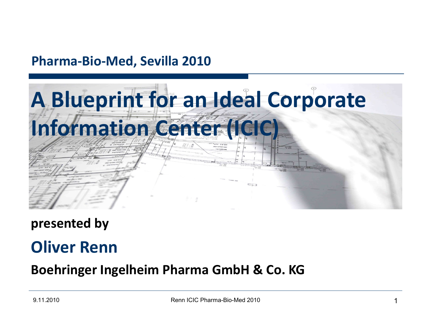### **Pharma-Bio-Med, Sevilla 2010**



**presented by**

### **Oliver Renn**

### **Boehringer Ingelheim Pharma GmbH & Co. KG**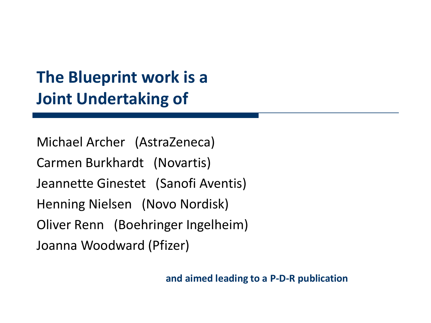### **The Blueprint work is a Joint Undertaking of**

Michael Archer (AstraZeneca) Carmen Burkhardt (Novartis) Jeannette Ginestet (Sanofi Aventis) Henning Nielsen (Novo Nordisk) Oliver Renn (Boehringer Ingelheim) Joanna Woodward (Pfizer)

**and aimed leading to a P-D-R publication**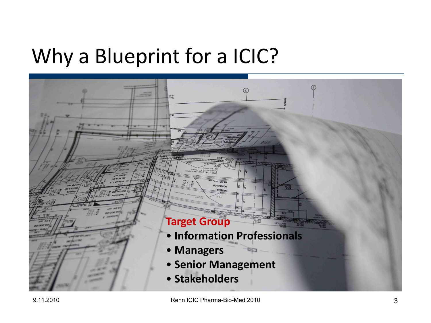## Why a Blueprint for a ICIC?

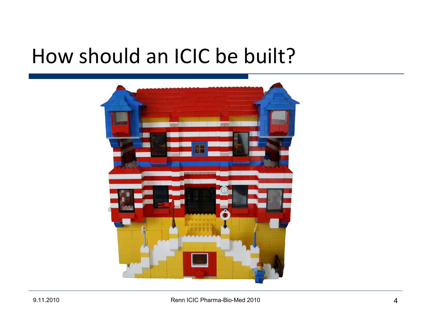### How should an ICIC be built?

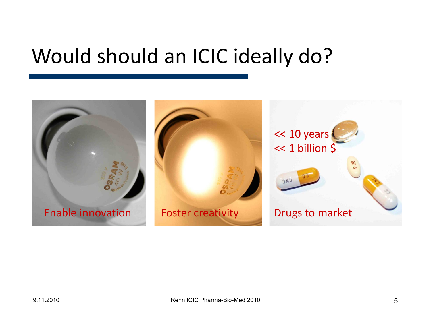## Would should an ICIC ideally do?

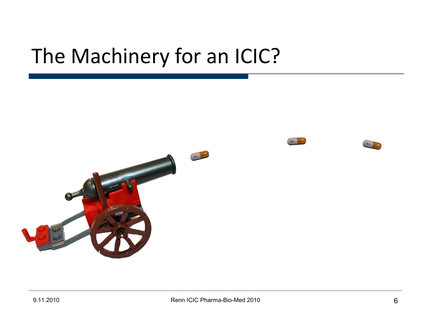## The Machinery for an ICIC?

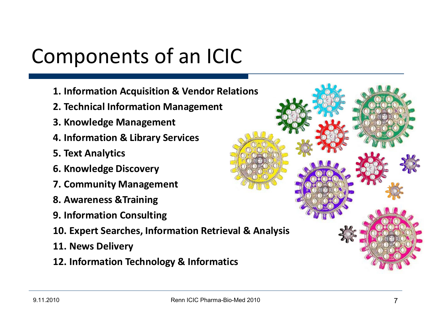# Components of an ICIC

- **1. Information Acquisition & Vendor Relations**
- **2. Technical Information Management**
- **3. Knowledge Management**
- **4. Information & Library Services**
- **5. Text Analytics**
- **6. Knowledge Discovery**
- **7. Community Management**
- **8. Awareness &Training**
- **9. Information Consulting**
- **10. Expert Searches, Information Retrieval & Analysis**
- **11. News Delivery**
- **12. Information Technology & Informatics**

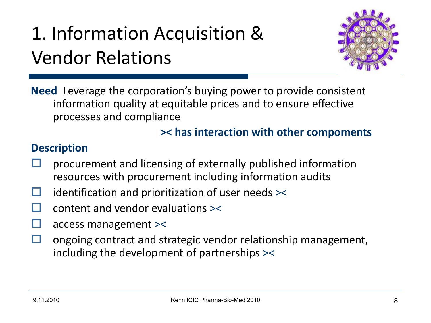# 1. Information Acquisition & Vendor Relations



**Need** Leverage the corporation's buying power to provide consistent information quality at equitable prices and to ensure effective processes and compliance

#### **>< has interaction with other compoments**

- procurement and licensing of externally published information resources with procurement including information audits
- $\Box$  identification and prioritization of user needs  $\ge$
- content and vendor evaluations ><
- access management ><
- $\Box$  ongoing contract and strategic vendor relationship management, including the development of partnerships ><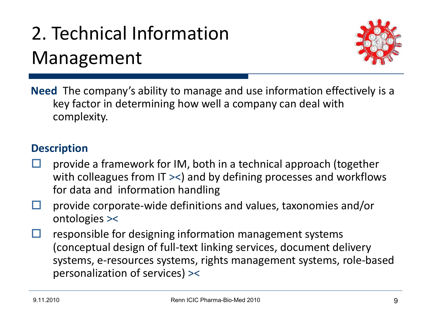## 2. Technical Information Management



**Need** The company's ability to manage and use information effectively is a key factor in determining how well a company can deal with complexity.

- provide a framework for IM, both in a technical approach (together with colleagues from IT ><) and by defining processes and workflows for data and information handling
- $\Box$  provide corporate-wide definitions and values, taxonomies and/or ontologies ><
- $\Box$  responsible for designing information management systems (conceptual design of full-text linking services, document delivery systems, e-resources systems, rights management systems, role-based personalization of services) ><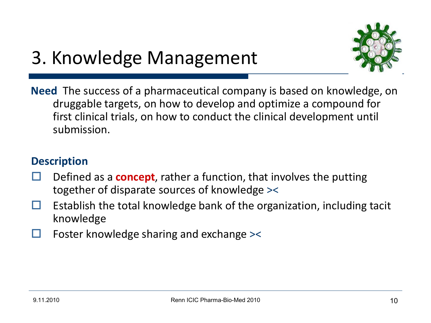### 3. Knowledge Management



**Need** The success of a pharmaceutical company is based on knowledge, on druggable targets, on how to develop and optimize a compound for first clinical trials, on how to conduct the clinical development until submission.

- Defined as a **concept**, rather a function, that involves the putting together of disparate sources of knowledge ><
- Establish the total knowledge bank of the organization, including tacit knowledge
- Foster knowledge sharing and exchange ><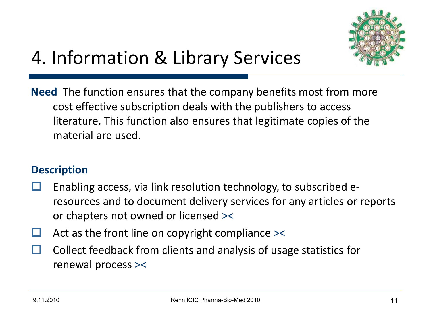

## 4. Information & Library Services

**Need** The function ensures that the company benefits most from more cost effective subscription deals with the publishers to access literature. This function also ensures that legitimate copies of the material are used.

- Enabling access, via link resolution technology, to subscribed eresources and to document delivery services for any articles or reports or chapters not owned or licensed ><
- Act as the front line on copyright compliance ><
- Collect feedback from clients and analysis of usage statistics for renewal process ><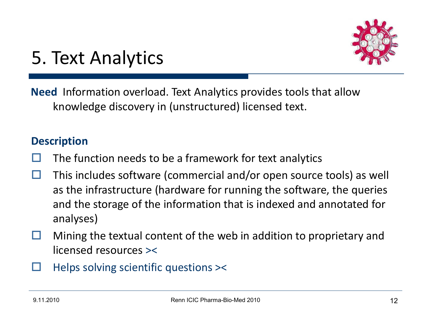

### 5. Text Analytics

**Need** Information overload. Text Analytics provides tools that allow knowledge discovery in (unstructured) licensed text.

- The function needs to be a framework for text analytics
- $\Box$  This includes software (commercial and/or open source tools) as well as the infrastructure (hardware for running the software, the queries and the storage of the information that is indexed and annotated for analyses)
- $\Box$  Mining the textual content of the web in addition to proprietary and licensed resources ><
- Helps solving scientific questions ><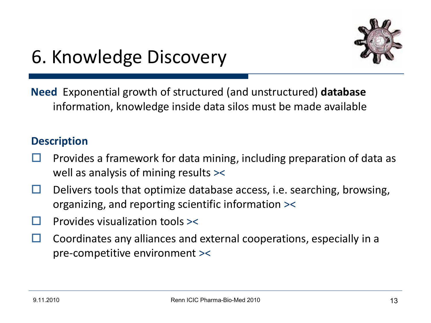

### 6. Knowledge Discovery

**Need** Exponential growth of structured (and unstructured) **database**  information, knowledge inside data silos must be made available

- Provides a framework for data mining, including preparation of data as well as analysis of mining results ><
- $\Box$  Delivers tools that optimize database access, i.e. searching, browsing, organizing, and reporting scientific information ><
- Provides visualization tools ><
- Coordinates any alliances and external cooperations, especially in a pre-competitive environment ><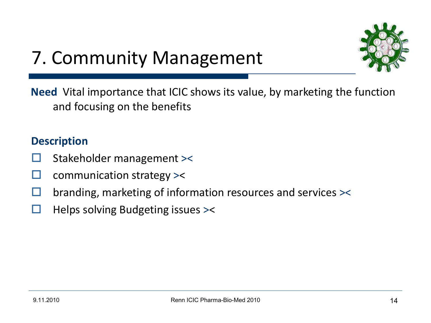

### 7. Community Management

**Need** Vital importance that ICIC shows its value, by marketing the function and focusing on the benefits

- Stakeholder management ><
- $\Box$  communication strategy  $\ge$
- branding, marketing of information resources and services ><
- $\Box$  Helps solving Budgeting issues  $\ge$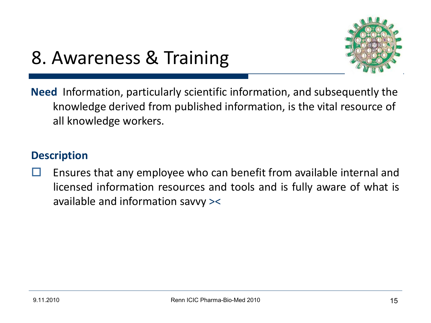

### 8. Awareness & Training

**Need** Information, particularly scientific information, and subsequently the knowledge derived from published information, is the vital resource of all knowledge workers.

#### **Description**

 Ensures that any employee who can benefit from available internal and licensed information resources and tools and is fully aware of what is available and information savvy ><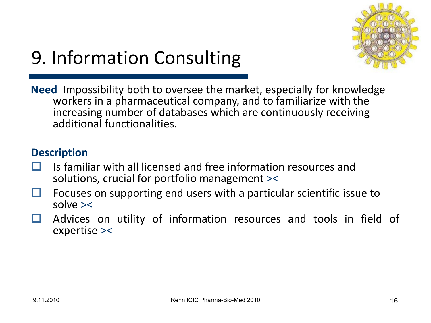

## 9. Information Consulting

**Need** Impossibility both to oversee the market, especially for knowledge workers in a pharmaceutical company, and to familiarize with the increasing number of databases which are continuously receiving additional functionalities.

- Is familiar with all licensed and free information resources and solutions, crucial for portfolio management ><
- Focuses on supporting end users with a particular scientific issue to solve ><
- $\Box$  Advices on utility of information resources and tools in field of expertise ><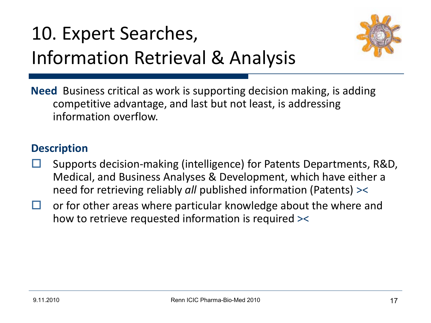## 10. Expert Searches, Information Retrieval & Analysis



**Need** Business critical as work is supporting decision making, is adding competitive advantage, and last but not least, is addressing information overflow.

- Supports decision-making (intelligence) for Patents Departments, R&D, Medical, and Business Analyses & Development, which have either a need for retrieving reliably *all* published information (Patents) ><
- $\Box$  or for other areas where particular knowledge about the where and how to retrieve requested information is required ><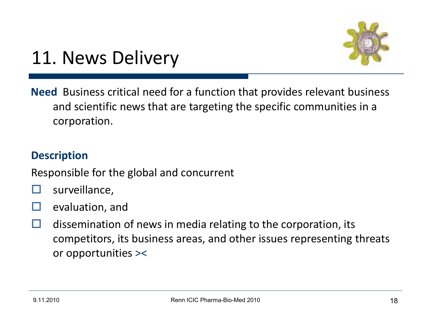

### 11. News Delivery

**Need** Business critical need for a function that provides relevant business and scientific news that are targeting the specific communities in a corporation.

#### **Description**

Responsible for the global and concurrent

- surveillance,
- evaluation, and
- $\Box$  dissemination of news in media relating to the corporation, its competitors, its business areas, and other issues representing threats or opportunities ><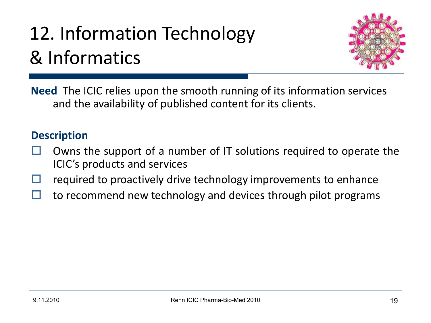# 12. Information Technology & Informatics



**Need** The ICIC relies upon the smooth running of its information services and the availability of published content for its clients.

- Owns the support of a number of IT solutions required to operate the ICIC's products and services
- required to proactively drive technology improvements to enhance
- $\Box$  to recommend new technology and devices through pilot programs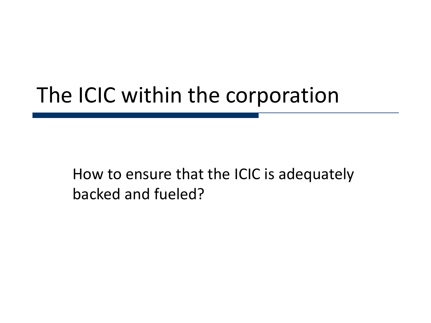## The ICIC within the corporation

How to ensure that the ICIC is adequately backed and fueled?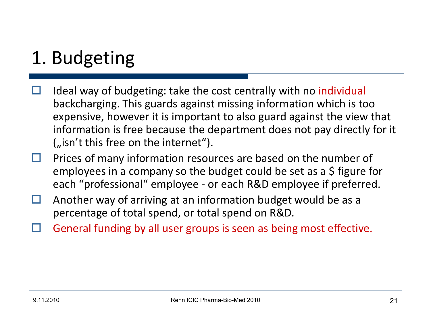## 1. Budgeting

- Ideal way of budgeting: take the cost centrally with no individual backcharging. This guards against missing information which is too expensive, however it is important to also guard against the view that information is free because the department does not pay directly for it  $\omega$  isn't this free on the internet").
- $\Box$  Prices of many information resources are based on the number of employees in a company so the budget could be set as a \$ figure for each "professional" employee - or each R&D employee if preferred.
- $\Box$  Another way of arriving at an information budget would be as a percentage of total spend, or total spend on R&D.
- General funding by all user groups is seen as being most effective.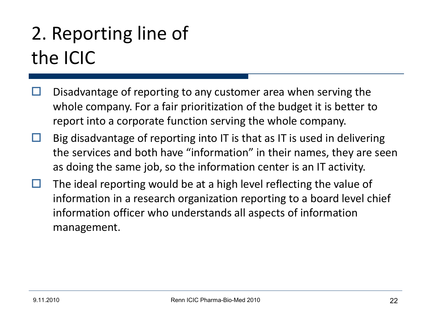## 2. Reporting line of the ICIC

- Disadvantage of reporting to any customer area when serving the whole company. For a fair prioritization of the budget it is better to report into a corporate function serving the whole company.
- Big disadvantage of reporting into IT is that as IT is used in delivering the services and both have "information" in their names, they are seen as doing the same job, so the information center is an IT activity.
- $\Box$  The ideal reporting would be at a high level reflecting the value of information in a research organization reporting to a board level chief information officer who understands all aspects of information management.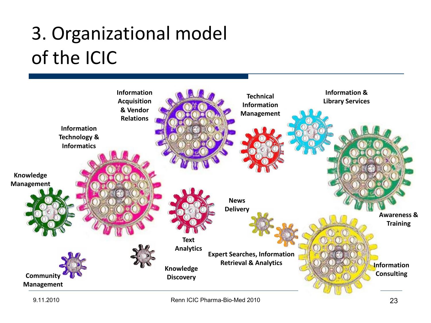## 3. Organizational model of the ICIC

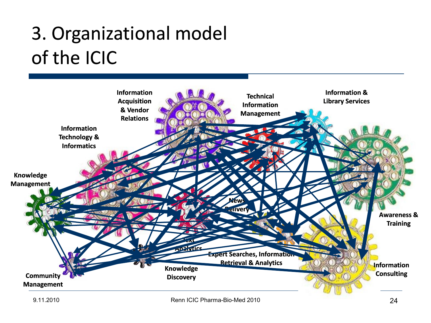## 3. Organizational model of the ICIC

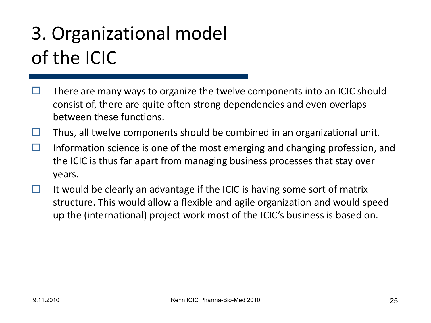## 3. Organizational model of the ICIC

- $\Box$  There are many ways to organize the twelve components into an ICIC should consist of, there are quite often strong dependencies and even overlaps between these functions.
- $\Box$  Thus, all twelve components should be combined in an organizational unit.
- $\Box$  Information science is one of the most emerging and changing profession, and the ICIC is thus far apart from managing business processes that stay over years.
- $\Box$  It would be clearly an advantage if the ICIC is having some sort of matrix structure. This would allow a flexible and agile organization and would speed up the (international) project work most of the ICIC's business is based on.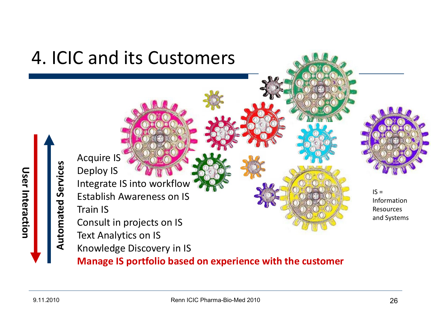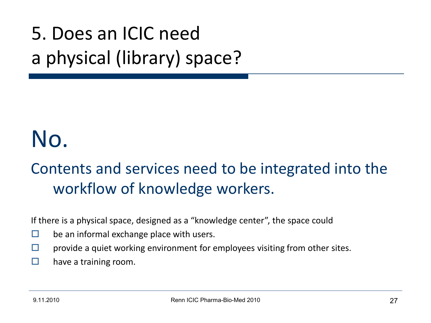## 5. Does an ICIC need a physical (library) space?

# No.

### Contents and services need to be integrated into the workflow of knowledge workers.

If there is a physical space, designed as a "knowledge center", the space could

- $\Box$  be an informal exchange place with users.
- $\Box$  provide a quiet working environment for employees visiting from other sites.
- $\Box$  have a training room.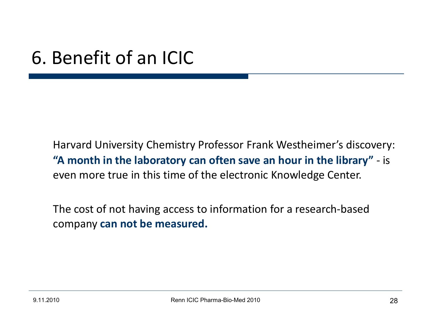### 6. Benefit of an ICIC

Harvard University Chemistry Professor Frank Westheimer's discovery: **"A month in the laboratory can often save an hour in the library"** - is even more true in this time of the electronic Knowledge Center.

The cost of not having access to information for a research-based company **can not be measured.**